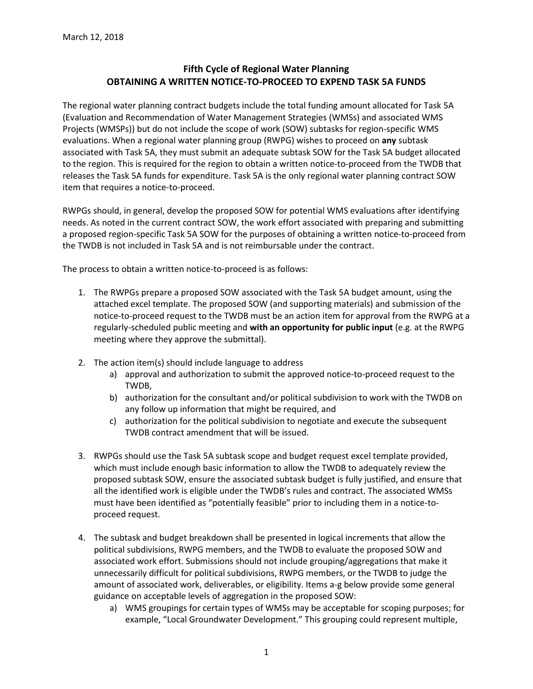## **Fifth Cycle of Regional Water Planning OBTAINING A WRITTEN NOTICE-TO-PROCEED TO EXPEND TASK 5A FUNDS**

The regional water planning contract budgets include the total funding amount allocated for Task 5A (Evaluation and Recommendation of Water Management Strategies (WMSs) and associated WMS Projects (WMSPs)) but do not include the scope of work (SOW) subtasks for region-specific WMS evaluations. When a regional water planning group (RWPG) wishes to proceed on **any** subtask associated with Task 5A, they must submit an adequate subtask SOW for the Task 5A budget allocated to the region. This is required for the region to obtain a written notice-to-proceed from the TWDB that releases the Task 5A funds for expenditure. Task 5A is the only regional water planning contract SOW item that requires a notice-to-proceed.

RWPGs should, in general, develop the proposed SOW for potential WMS evaluations after identifying needs. As noted in the current contract SOW, the work effort associated with preparing and submitting a proposed region-specific Task 5A SOW for the purposes of obtaining a written notice-to-proceed from the TWDB is not included in Task 5A and is not reimbursable under the contract.

The process to obtain a written notice-to-proceed is as follows:

- 1. The RWPGs prepare a proposed SOW associated with the Task 5A budget amount, using the attached excel template. The proposed SOW (and supporting materials) and submission of the notice-to-proceed request to the TWDB must be an action item for approval from the RWPG at a regularly-scheduled public meeting and **with an opportunity for public input** (e.g. at the RWPG meeting where they approve the submittal).
- 2. The action item(s) should include language to address
	- a) approval and authorization to submit the approved notice-to-proceed request to the TWDB,
	- b) authorization for the consultant and/or political subdivision to work with the TWDB on any follow up information that might be required, and
	- c) authorization for the political subdivision to negotiate and execute the subsequent TWDB contract amendment that will be issued.
- 3. RWPGs should use the Task 5A subtask scope and budget request excel template provided, which must include enough basic information to allow the TWDB to adequately review the proposed subtask SOW, ensure the associated subtask budget is fully justified, and ensure that all the identified work is eligible under the TWDB's rules and contract. The associated WMSs must have been identified as "potentially feasible" prior to including them in a notice-toproceed request.
- 4. The subtask and budget breakdown shall be presented in logical increments that allow the political subdivisions, RWPG members, and the TWDB to evaluate the proposed SOW and associated work effort. Submissions should not include grouping/aggregations that make it unnecessarily difficult for political subdivisions, RWPG members, or the TWDB to judge the amount of associated work, deliverables, or eligibility. Items a-g below provide some general guidance on acceptable levels of aggregation in the proposed SOW:
	- a) WMS groupings for certain types of WMSs may be acceptable for scoping purposes; for example, "Local Groundwater Development." This grouping could represent multiple,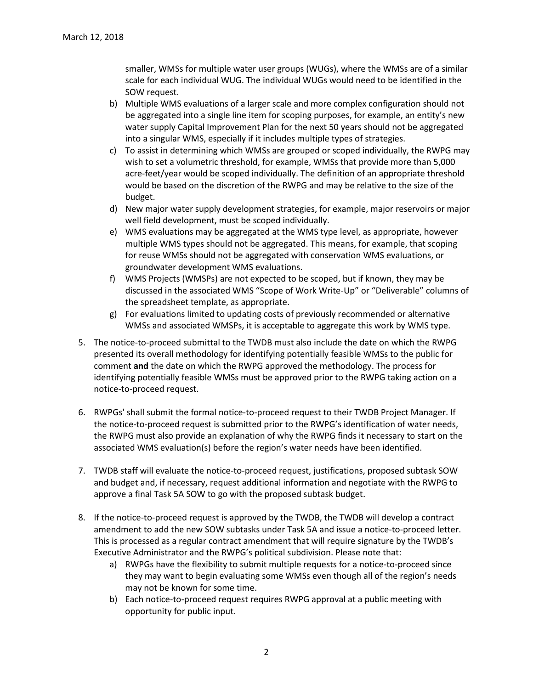smaller, WMSs for multiple water user groups (WUGs), where the WMSs are of a similar scale for each individual WUG. The individual WUGs would need to be identified in the SOW request.

- b) Multiple WMS evaluations of a larger scale and more complex configuration should not be aggregated into a single line item for scoping purposes, for example, an entity's new water supply Capital Improvement Plan for the next 50 years should not be aggregated into a singular WMS, especially if it includes multiple types of strategies.
- c) To assist in determining which WMSs are grouped or scoped individually, the RWPG may wish to set a volumetric threshold, for example, WMSs that provide more than 5,000 acre-feet/year would be scoped individually. The definition of an appropriate threshold would be based on the discretion of the RWPG and may be relative to the size of the budget.
- d) New major water supply development strategies, for example, major reservoirs or major well field development, must be scoped individually.
- e) WMS evaluations may be aggregated at the WMS type level, as appropriate, however multiple WMS types should not be aggregated. This means, for example, that scoping for reuse WMSs should not be aggregated with conservation WMS evaluations, or groundwater development WMS evaluations.
- f) WMS Projects (WMSPs) are not expected to be scoped, but if known, they may be discussed in the associated WMS "Scope of Work Write-Up" or "Deliverable" columns of the spreadsheet template, as appropriate.
- g) For evaluations limited to updating costs of previously recommended or alternative WMSs and associated WMSPs, it is acceptable to aggregate this work by WMS type.
- 5. The notice-to-proceed submittal to the TWDB must also include the date on which the RWPG presented its overall methodology for identifying potentially feasible WMSs to the public for comment **and** the date on which the RWPG approved the methodology. The process for identifying potentially feasible WMSs must be approved prior to the RWPG taking action on a notice-to-proceed request.
- 6. RWPGs' shall submit the formal notice-to-proceed request to their TWDB Project Manager. If the notice-to-proceed request is submitted prior to the RWPG's identification of water needs, the RWPG must also provide an explanation of why the RWPG finds it necessary to start on the associated WMS evaluation(s) before the region's water needs have been identified.
- 7. TWDB staff will evaluate the notice-to-proceed request, justifications, proposed subtask SOW and budget and, if necessary, request additional information and negotiate with the RWPG to approve a final Task 5A SOW to go with the proposed subtask budget.
- 8. If the notice-to-proceed request is approved by the TWDB, the TWDB will develop a contract amendment to add the new SOW subtasks under Task 5A and issue a notice-to-proceed letter. This is processed as a regular contract amendment that will require signature by the TWDB's Executive Administrator and the RWPG's political subdivision. Please note that:
	- a) RWPGs have the flexibility to submit multiple requests for a notice-to-proceed since they may want to begin evaluating some WMSs even though all of the region's needs may not be known for some time.
	- b) Each notice-to-proceed request requires RWPG approval at a public meeting with opportunity for public input.